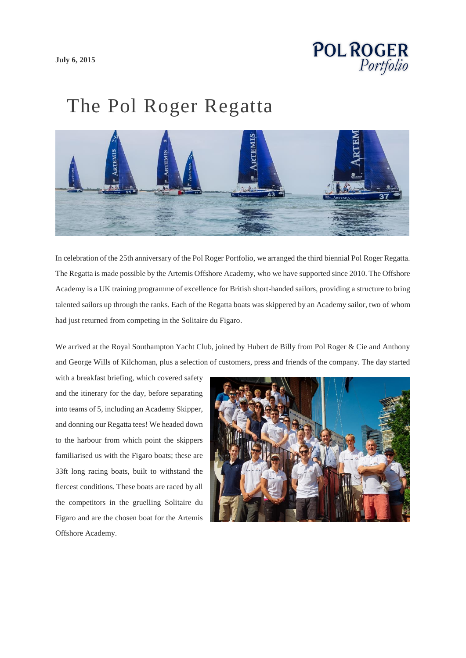

## The Pol Roger Regatta



In celebration of the 25th anniversary of the Pol Roger Portfolio, we arranged the third biennial Pol Roger Regatta. The Regatta is made possible by the Artemis Offshore Academy, who we have supported since 2010. The Offshore Academy is a UK training programme of excellence for British short-handed sailors, providing a structure to bring talented sailors up through the ranks. Each of the Regatta boats was skippered by an Academy sailor, two of whom had just returned from competing in the Solitaire du Figaro.

We arrived at the Royal Southampton Yacht Club, joined by Hubert de Billy from Pol Roger & Cie and Anthony and George Wills of Kilchoman, plus a selection of customers, press and friends of the company. The day started

with a breakfast briefing, which covered safety and the itinerary for the day, before separating into teams of 5, including an Academy Skipper, and donning our Regatta tees! We headed down to the harbour from which point the skippers familiarised us with the Figaro boats; these are 33ft long racing boats, built to withstand the fiercest conditions. These boats are raced by all the competitors in the gruelling Solitaire du Figaro and are the chosen boat for the Artemis Offshore Academy.